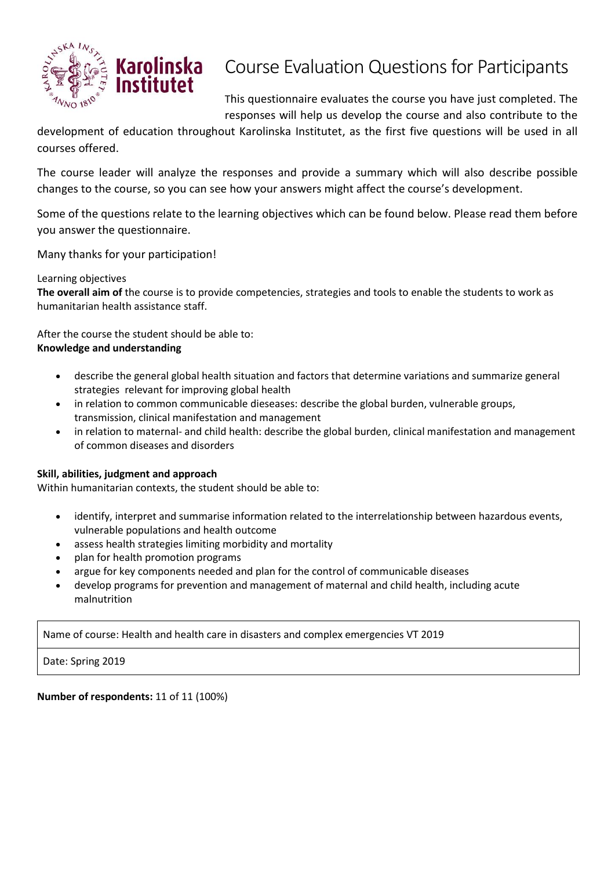

## Course Evaluation Questions for Participants

This questionnaire evaluates the course you have just completed. The responses will help us develop the course and also contribute to the

development of education throughout Karolinska Institutet, as the first five questions will be used in all courses offered.

The course leader will analyze the responses and provide a summary which will also describe possible changes to the course, so you can see how your answers might affect the course's development.

Some of the questions relate to the learning objectives which can be found below. Please read them before you answer the questionnaire.

Many thanks for your participation!

## Learning objectives

**The overall aim of** the course is to provide competencies, strategies and tools to enable the students to work as humanitarian health assistance staff.

After the course the student should be able to: **Knowledge and understanding**

- describe the general global health situation and factors that determine variations and summarize general strategies relevant for improving global health
- in relation to common communicable dieseases: describe the global burden, vulnerable groups, transmission, clinical manifestation and management
- in relation to maternal- and child health: describe the global burden, clinical manifestation and management of common diseases and disorders

## **Skill, abilities, judgment and approach**

Within humanitarian contexts, the student should be able to:

- identify, interpret and summarise information related to the interrelationship between hazardous events, vulnerable populations and health outcome
- assess health strategies limiting morbidity and mortality
- plan for health promotion programs
- argue for key components needed and plan for the control of communicable diseases
- develop programs for prevention and management of maternal and child health, including acute malnutrition

Name of course: Health and health care in disasters and complex emergencies VT 2019

Date: Spring 2019

**Number of respondents:** 11 of 11 (100%)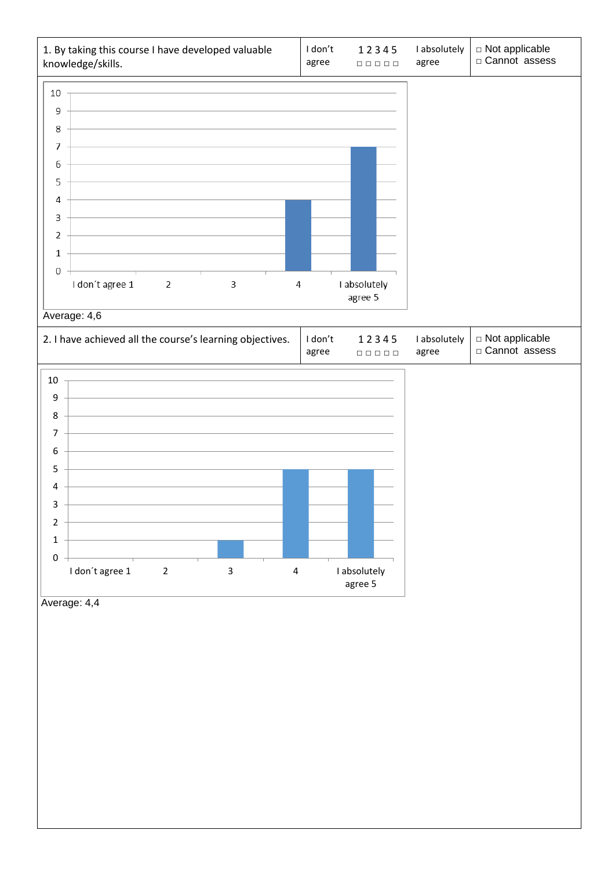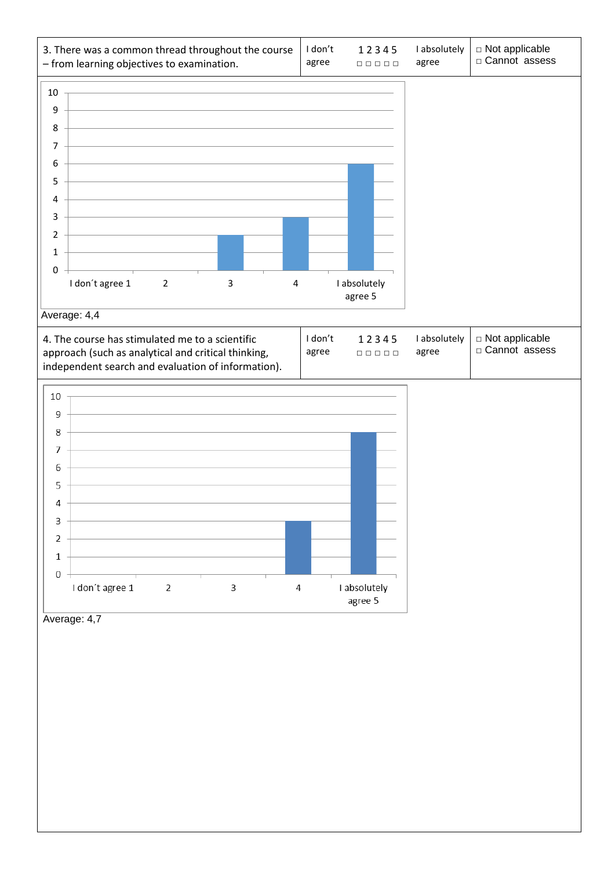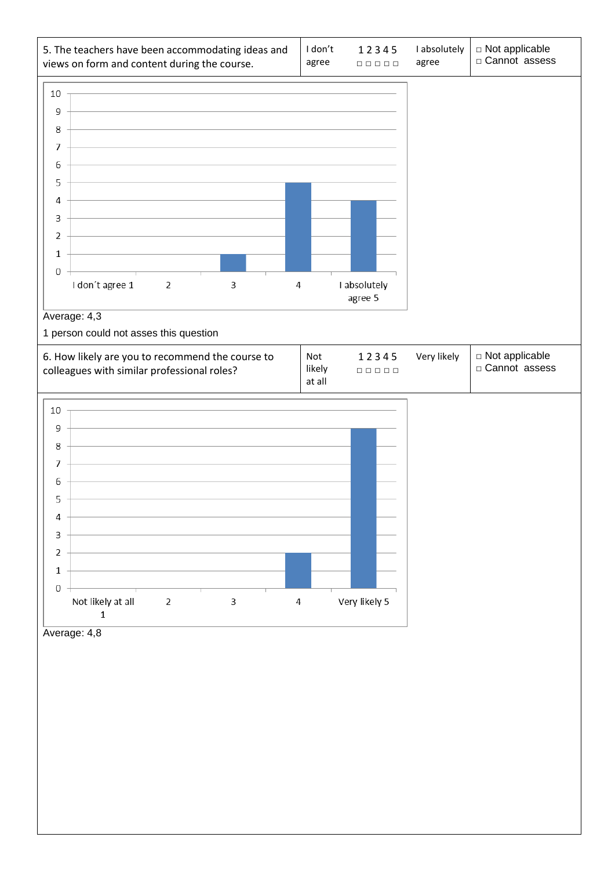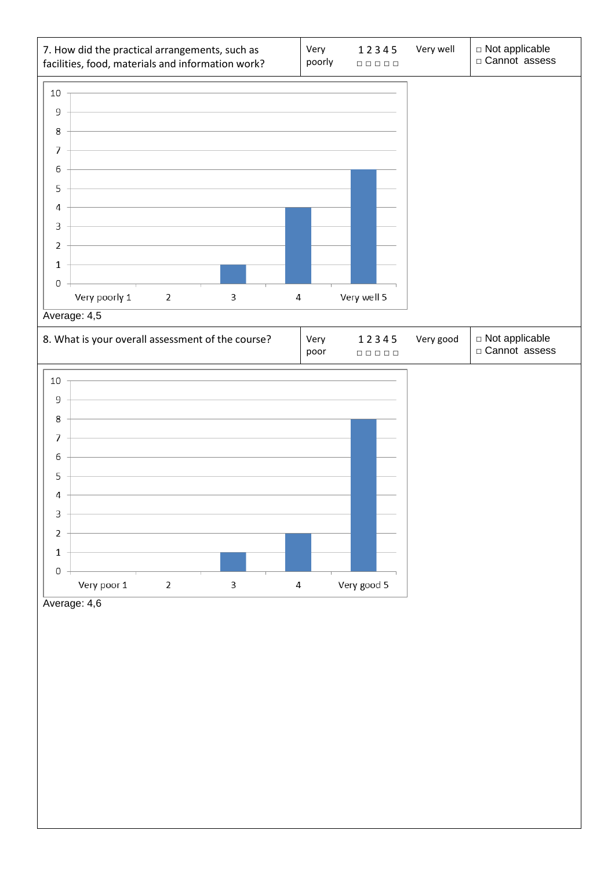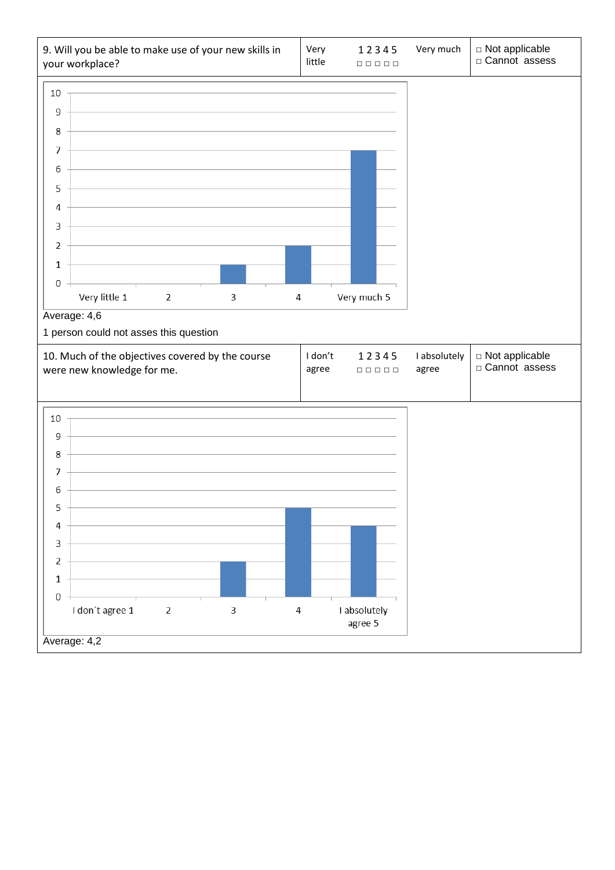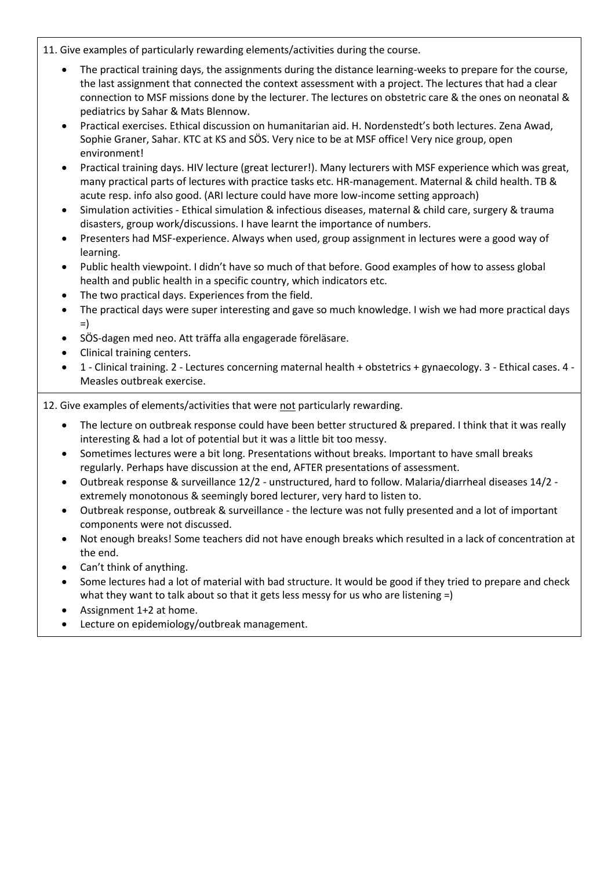11. Give examples of particularly rewarding elements/activities during the course.

- The practical training days, the assignments during the distance learning-weeks to prepare for the course, the last assignment that connected the context assessment with a project. The lectures that had a clear connection to MSF missions done by the lecturer. The lectures on obstetric care & the ones on neonatal & pediatrics by Sahar & Mats Blennow.
- Practical exercises. Ethical discussion on humanitarian aid. H. Nordenstedt's both lectures. Zena Awad, Sophie Graner, Sahar. KTC at KS and SÖS. Very nice to be at MSF office! Very nice group, open environment!
- Practical training days. HIV lecture (great lecturer!). Many lecturers with MSF experience which was great, many practical parts of lectures with practice tasks etc. HR-management. Maternal & child health. TB & acute resp. info also good. (ARI lecture could have more low-income setting approach)
- Simulation activities Ethical simulation & infectious diseases, maternal & child care, surgery & trauma disasters, group work/discussions. I have learnt the importance of numbers.
- Presenters had MSF-experience. Always when used, group assignment in lectures were a good way of learning.
- Public health viewpoint. I didn't have so much of that before. Good examples of how to assess global health and public health in a specific country, which indicators etc.
- The two practical days. Experiences from the field.
- The practical days were super interesting and gave so much knowledge. I wish we had more practical days =)
- SÖS-dagen med neo. Att träffa alla engagerade föreläsare.
- Clinical training centers.
- 1 Clinical training. 2 Lectures concerning maternal health + obstetrics + gynaecology. 3 Ethical cases. 4 Measles outbreak exercise.

12. Give examples of elements/activities that were not particularly rewarding.

- The lecture on outbreak response could have been better structured & prepared. I think that it was really interesting & had a lot of potential but it was a little bit too messy.
- Sometimes lectures were a bit long. Presentations without breaks. Important to have small breaks regularly. Perhaps have discussion at the end, AFTER presentations of assessment.
- Outbreak response & surveillance 12/2 unstructured, hard to follow. Malaria/diarrheal diseases 14/2 extremely monotonous & seemingly bored lecturer, very hard to listen to.
- Outbreak response, outbreak & surveillance the lecture was not fully presented and a lot of important components were not discussed.
- Not enough breaks! Some teachers did not have enough breaks which resulted in a lack of concentration at the end.
- Can't think of anything.
- Some lectures had a lot of material with bad structure. It would be good if they tried to prepare and check what they want to talk about so that it gets less messy for us who are listening =)
- Assignment 1+2 at home.
- Lecture on epidemiology/outbreak management.